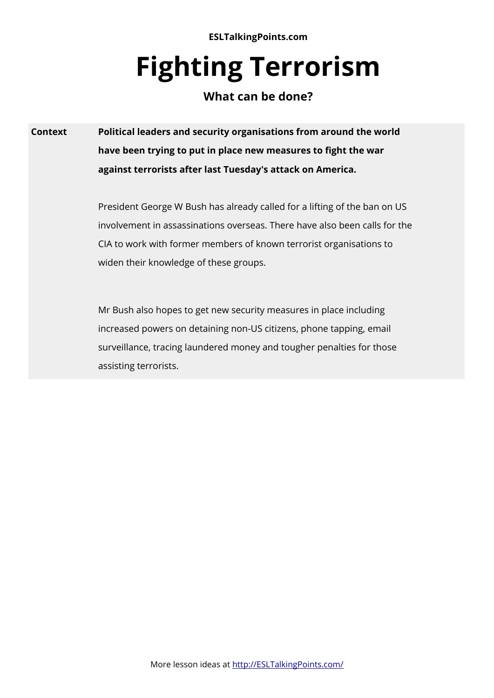**ESLTalkingPoints.com**

# **Fighting Terrorism**

# **What can be done?**

**Context Political leaders and security organisations from around the world have been trying to put in place new measures to fght the war against terrorists after last Tuesday's attack on America.**

> President George W Bush has already called for a lifting of the ban on US involvement in assassinations overseas. There have also been calls for the CIA to work with former members of known terrorist organisations to widen their knowledge of these groups.

Mr Bush also hopes to get new security measures in place including increased powers on detaining non-US citizens, phone tapping, email surveillance, tracing laundered money and tougher penalties for those assisting terrorists.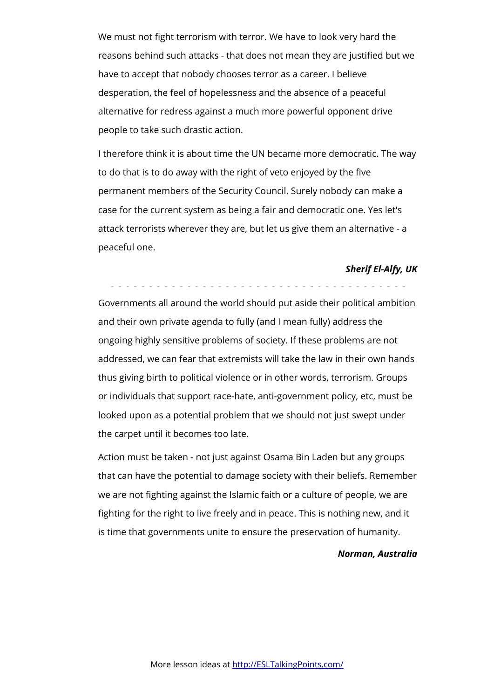We must not fght terrorism with terror. We have to look very hard the reasons behind such attacks - that does not mean they are justifed but we have to accept that nobody chooses terror as a career. I believe desperation, the feel of hopelessness and the absence of a peaceful alternative for redress against a much more powerful opponent drive people to take such drastic action.

I therefore think it is about time the UN became more democratic. The way to do that is to do away with the right of veto enjoyed by the five permanent members of the Security Council. Surely nobody can make a case for the current system as being a fair and democratic one. Yes let's attack terrorists wherever they are, but let us give them an alternative - a peaceful one.

# *Sherif El-Alfy, UK*

Governments all around the world should put aside their political ambition and their own private agenda to fully (and I mean fully) address the ongoing highly sensitive problems of society. If these problems are not addressed, we can fear that extremists will take the law in their own hands thus giving birth to political violence or in other words, terrorism. Groups or individuals that support race-hate, anti-government policy, etc, must be looked upon as a potential problem that we should not just swept under the carpet until it becomes too late.

- - - - - - - - - - - - - - - - - - - - - - - - - - - - - - - - - - - - - - -

Action must be taken - not just against Osama Bin Laden but any groups that can have the potential to damage society with their beliefs. Remember we are not fghting against the Islamic faith or a culture of people, we are fghting for the right to live freely and in peace. This is nothing new, and it is time that governments unite to ensure the preservation of humanity.

# *Norman, Australia*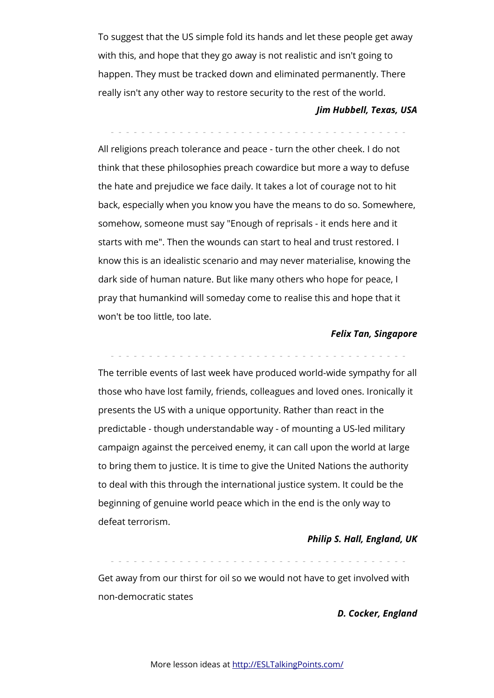To suggest that the US simple fold its hands and let these people get away with this, and hope that they go away is not realistic and isn't going to happen. They must be tracked down and eliminated permanently. There really isn't any other way to restore security to the rest of the world.

#### *Jim Hubbell, Texas, USA*

- - - - - - - - - - - - - - - - - - - - - - - - - - - - - - - - - - - - - - -

All religions preach tolerance and peace - turn the other cheek. I do not think that these philosophies preach cowardice but more a way to defuse the hate and prejudice we face daily. It takes a lot of courage not to hit back, especially when you know you have the means to do so. Somewhere, somehow, someone must say "Enough of reprisals - it ends here and it starts with me". Then the wounds can start to heal and trust restored. I know this is an idealistic scenario and may never materialise, knowing the dark side of human nature. But like many others who hope for peace, I pray that humankind will someday come to realise this and hope that it won't be too little, too late.

#### *Felix Tan, Singapore*

- - - - - - - - - - - - - - - - - - - - - - - - - - - - - - - - - - - - - - - The terrible events of last week have produced world-wide sympathy for all those who have lost family, friends, colleagues and loved ones. Ironically it presents the US with a unique opportunity. Rather than react in the predictable - though understandable way - of mounting a US-led military campaign against the perceived enemy, it can call upon the world at large to bring them to justice. It is time to give the United Nations the authority to deal with this through the international justice system. It could be the beginning of genuine world peace which in the end is the only way to defeat terrorism.

#### *Philip S. Hall, England, UK*

Get away from our thirst for oil so we would not have to get involved with non-democratic states

- - - - - - - - - - - - - - - - - - - - - - - - - - - - - - - - - - - - - - -

#### *D. Cocker, England*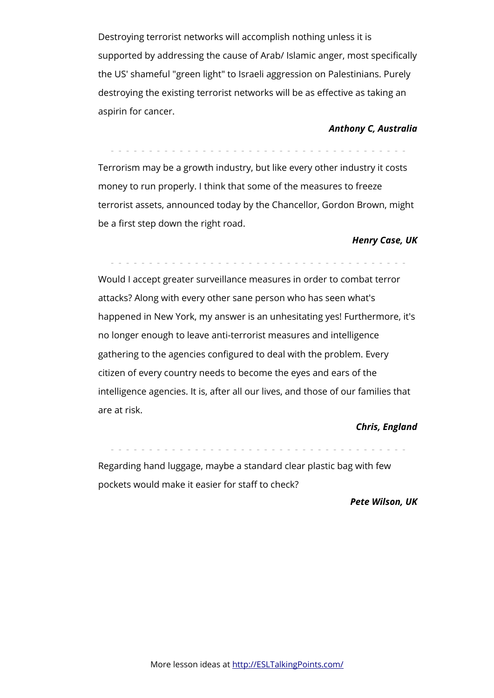Destroying terrorist networks will accomplish nothing unless it is supported by addressing the cause of Arab/ Islamic anger, most specifically the US' shameful "green light" to Israeli aggression on Palestinians. Purely destroying the existing terrorist networks will be as efective as taking an aspirin for cancer.

# *Anthony C, Australia*

Terrorism may be a growth industry, but like every other industry it costs money to run properly. I think that some of the measures to freeze terrorist assets, announced today by the Chancellor, Gordon Brown, might be a first step down the right road.

- - - - - - - - - - - - - - - - - - - - - - - - - - - - - - - - - - - - - - -

# *Henry Case, UK*

- - - - - - - - - - - - - - - - - - - - - - - - - - - - - - - - - - - - - - -

Would I accept greater surveillance measures in order to combat terror attacks? Along with every other sane person who has seen what's happened in New York, my answer is an unhesitating yes! Furthermore, it's no longer enough to leave anti-terrorist measures and intelligence gathering to the agencies confgured to deal with the problem. Every citizen of every country needs to become the eyes and ears of the intelligence agencies. It is, after all our lives, and those of our families that are at risk.

# *Chris, England*

- - - - - - - - - - - - - - - - - - - - - - - - - - - - - - - - - - - - - - - Regarding hand luggage, maybe a standard clear plastic bag with few pockets would make it easier for staff to check?

# *Pete Wilson, UK*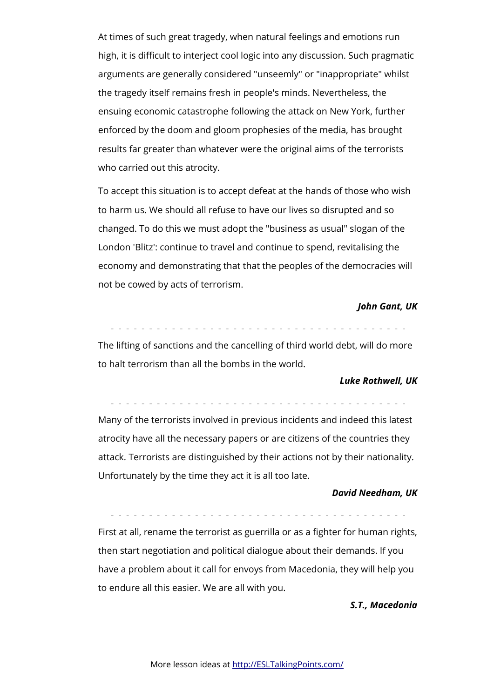At times of such great tragedy, when natural feelings and emotions run high, it is difficult to interject cool logic into any discussion. Such pragmatic arguments are generally considered "unseemly" or "inappropriate" whilst the tragedy itself remains fresh in people's minds. Nevertheless, the ensuing economic catastrophe following the attack on New York, further enforced by the doom and gloom prophesies of the media, has brought results far greater than whatever were the original aims of the terrorists who carried out this atrocity.

To accept this situation is to accept defeat at the hands of those who wish to harm us. We should all refuse to have our lives so disrupted and so changed. To do this we must adopt the "business as usual" slogan of the London 'Blitz': continue to travel and continue to spend, revitalising the economy and demonstrating that that the peoples of the democracies will not be cowed by acts of terrorism.

#### *John Gant, UK*

- - - - - - - - - - - - - - - - - - - - - - - - - - - - - - - - - - - - - - -

The lifting of sanctions and the cancelling of third world debt, will do more to halt terrorism than all the bombs in the world.

#### *Luke Rothwell, UK*

- - - - - - - - - - - - - - - - - - - - - - - - - - - - - - - - - - - - - - -

Many of the terrorists involved in previous incidents and indeed this latest atrocity have all the necessary papers or are citizens of the countries they attack. Terrorists are distinguished by their actions not by their nationality. Unfortunately by the time they act it is all too late.

#### *David Needham, UK*

- - - - - - - - - - - - - - - - - - - - - - - - - - - - - - - - - - - - - - -

First at all, rename the terrorist as guerrilla or as a fighter for human rights, then start negotiation and political dialogue about their demands. If you have a problem about it call for envoys from Macedonia, they will help you to endure all this easier. We are all with you.

#### *S.T., Macedonia*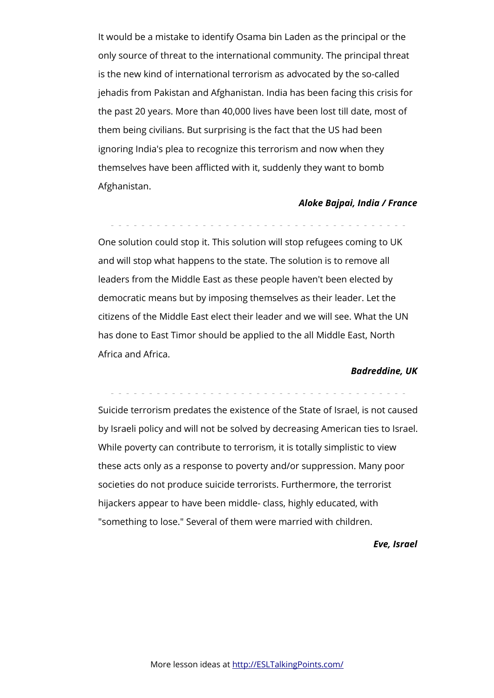It would be a mistake to identify Osama bin Laden as the principal or the only source of threat to the international community. The principal threat is the new kind of international terrorism as advocated by the so-called jehadis from Pakistan and Afghanistan. India has been facing this crisis for the past 20 years. More than 40,000 lives have been lost till date, most of them being civilians. But surprising is the fact that the US had been ignoring India's plea to recognize this terrorism and now when they themselves have been afflicted with it, suddenly they want to bomb Afghanistan.

### *Aloke Bajpai, India / France*

- - - - - - - - - - - - - - - - - - - - - - - - - - - - - - - - - - - - - - - One solution could stop it. This solution will stop refugees coming to UK and will stop what happens to the state. The solution is to remove all leaders from the Middle East as these people haven't been elected by democratic means but by imposing themselves as their leader. Let the citizens of the Middle East elect their leader and we will see. What the UN has done to East Timor should be applied to the all Middle East, North Africa and Africa.

#### *Badreddine, UK*

- - - - - - - - - - - - - - - - - - - - - - - - - - - - - - - - - - - - - - -

Suicide terrorism predates the existence of the State of Israel, is not caused by Israeli policy and will not be solved by decreasing American ties to Israel. While poverty can contribute to terrorism, it is totally simplistic to view these acts only as a response to poverty and/or suppression. Many poor societies do not produce suicide terrorists. Furthermore, the terrorist hijackers appear to have been middle- class, highly educated, with "something to lose." Several of them were married with children.

# *Eve, Israel*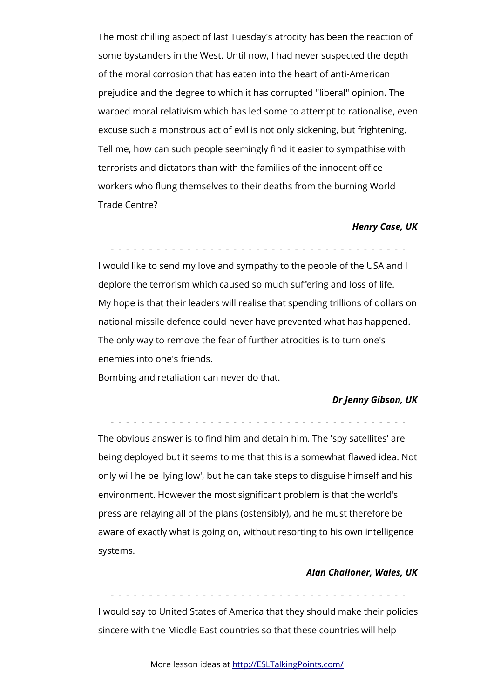The most chilling aspect of last Tuesday's atrocity has been the reaction of some bystanders in the West. Until now, I had never suspected the depth of the moral corrosion that has eaten into the heart of anti-American prejudice and the degree to which it has corrupted "liberal" opinion. The warped moral relativism which has led some to attempt to rationalise, even excuse such a monstrous act of evil is not only sickening, but frightening. Tell me, how can such people seemingly find it easier to sympathise with terrorists and dictators than with the families of the innocent office workers who fung themselves to their deaths from the burning World Trade Centre?

#### *Henry Case, UK*

- - - - - - - - - - - - - - - - - - - - - - - - - - - - - - - - - - - - - - -

I would like to send my love and sympathy to the people of the USA and I deplore the terrorism which caused so much suffering and loss of life. My hope is that their leaders will realise that spending trillions of dollars on national missile defence could never have prevented what has happened. The only way to remove the fear of further atrocities is to turn one's enemies into one's friends.

Bombing and retaliation can never do that.

#### *Dr Jenny Gibson, UK*

- - - - - - - - - - - - - - - - - - - - - - - - - - - - - - - - - - - - - - -

The obvious answer is to find him and detain him. The 'spy satellites' are being deployed but it seems to me that this is a somewhat fawed idea. Not only will he be 'lying low', but he can take steps to disguise himself and his environment. However the most signifcant problem is that the world's press are relaying all of the plans (ostensibly), and he must therefore be aware of exactly what is going on, without resorting to his own intelligence systems.

#### *Alan Challoner, Wales, UK*

- - - - - - - - - - - - - - - - - - - - - - - - - - - - - - - - - - - - - - -

I would say to United States of America that they should make their policies sincere with the Middle East countries so that these countries will help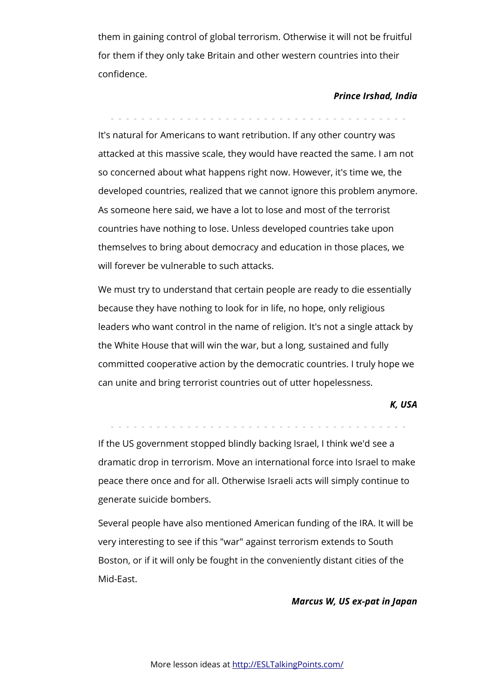them in gaining control of global terrorism. Otherwise it will not be fruitful for them if they only take Britain and other western countries into their confidence.

- - - - - - - - - - - - - - - - - - - - - - - - - - - - - - - - - - - - - - -

### *Prince Irshad, India*

It's natural for Americans to want retribution. If any other country was attacked at this massive scale, they would have reacted the same. I am not so concerned about what happens right now. However, it's time we, the developed countries, realized that we cannot ignore this problem anymore. As someone here said, we have a lot to lose and most of the terrorist countries have nothing to lose. Unless developed countries take upon themselves to bring about democracy and education in those places, we will forever be vulnerable to such attacks.

We must try to understand that certain people are ready to die essentially because they have nothing to look for in life, no hope, only religious leaders who want control in the name of religion. It's not a single attack by the White House that will win the war, but a long, sustained and fully committed cooperative action by the democratic countries. I truly hope we can unite and bring terrorist countries out of utter hopelessness.

# *K, USA*

- - - - - - - - - - - - - - - - - - - - - - - - - - - - - - - - - - - - - - -

If the US government stopped blindly backing Israel, I think we'd see a dramatic drop in terrorism. Move an international force into Israel to make peace there once and for all. Otherwise Israeli acts will simply continue to generate suicide bombers.

Several people have also mentioned American funding of the IRA. It will be very interesting to see if this "war" against terrorism extends to South Boston, or if it will only be fought in the conveniently distant cities of the Mid-East.

#### *Marcus W, US ex-pat in Japan*